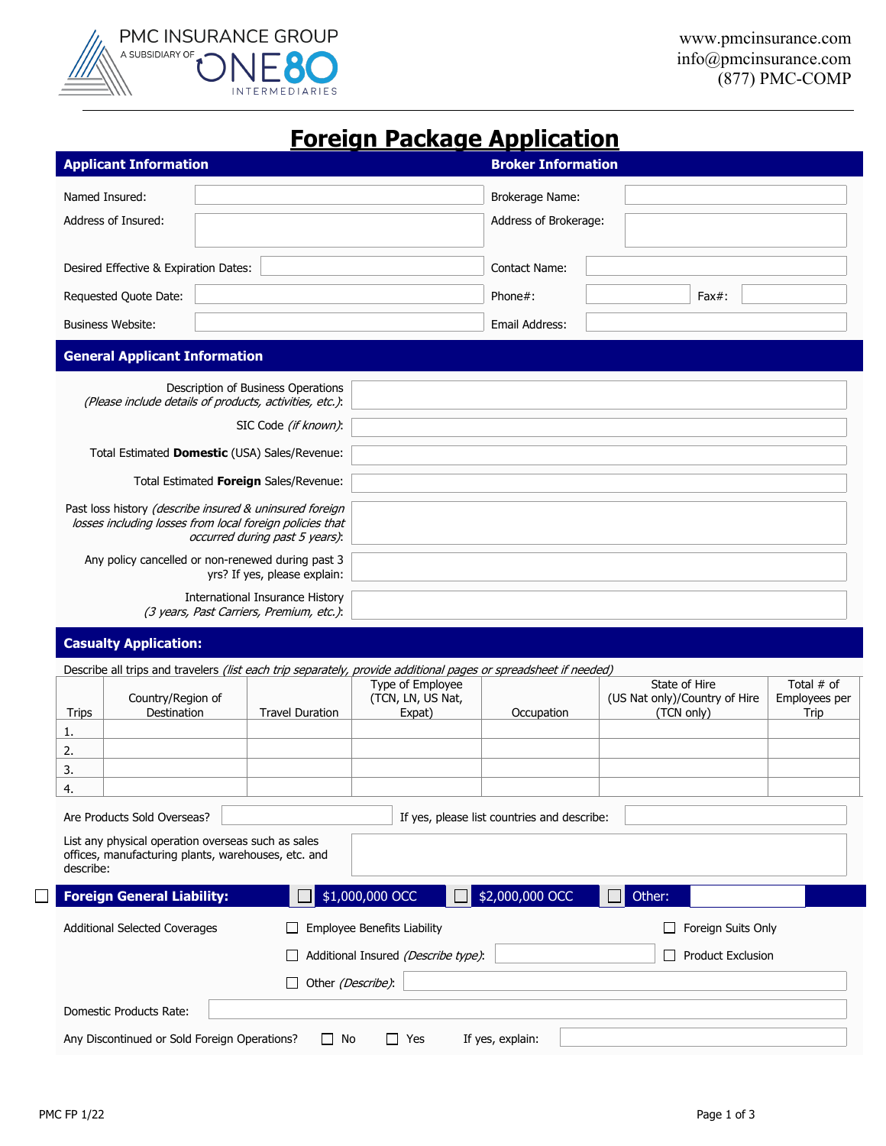

## **Foreign Package Application**

| <b>Applicant Information</b>          | <b>Broker Information</b>                |  |  |  |  |
|---------------------------------------|------------------------------------------|--|--|--|--|
| Named Insured:<br>Address of Insured: | Brokerage Name:<br>Address of Brokerage: |  |  |  |  |
| Desired Effective & Expiration Dates: | <b>Contact Name:</b>                     |  |  |  |  |
| Requested Quote Date:                 | Phone#:<br>$Fax#$ :                      |  |  |  |  |
| <b>Business Website:</b>              | Email Address:                           |  |  |  |  |
| <b>General Applicant Information</b>  |                                          |  |  |  |  |

| Description of Business Operations                       |  |
|----------------------------------------------------------|--|
| (Please include details of products, activities, etc.):  |  |
| SIC Code (if known):                                     |  |
|                                                          |  |
| Total Estimated <b>Domestic</b> (USA) Sales/Revenue:     |  |
| Total Estimated Foreign Sales/Revenue:                   |  |
|                                                          |  |
| Past loss history (describe insured & uninsured foreign  |  |
| losses including losses from local foreign policies that |  |
| occurred during past 5 years):                           |  |
| Any policy cancelled or non-renewed during past 3        |  |
| yrs? If yes, please explain:                             |  |
|                                                          |  |
| International Insurance History                          |  |
| (3 years, Past Carriers, Premium, etc.):                 |  |

## **Casualty Application:**

|                                                                                                                        |                                                                 |                        |                                    | Describe all trips and travelers <i>(list each trip separately, provide additional pages or spreadsheet if needed)</i> |                               |                    |  |
|------------------------------------------------------------------------------------------------------------------------|-----------------------------------------------------------------|------------------------|------------------------------------|------------------------------------------------------------------------------------------------------------------------|-------------------------------|--------------------|--|
|                                                                                                                        |                                                                 |                        | Type of Employee                   |                                                                                                                        | State of Hire                 | Total $#$ of       |  |
|                                                                                                                        | Country/Region of                                               |                        | (TCN, LN, US Nat,                  |                                                                                                                        | (US Nat only)/Country of Hire | Employees per      |  |
| <b>Trips</b>                                                                                                           | Destination                                                     | <b>Travel Duration</b> | Expat)                             | Occupation                                                                                                             | (TCN only)                    | Trip               |  |
| 1.                                                                                                                     |                                                                 |                        |                                    |                                                                                                                        |                               |                    |  |
| 2.                                                                                                                     |                                                                 |                        |                                    |                                                                                                                        |                               |                    |  |
| 3.                                                                                                                     |                                                                 |                        |                                    |                                                                                                                        |                               |                    |  |
| 4.                                                                                                                     |                                                                 |                        |                                    |                                                                                                                        |                               |                    |  |
| Are Products Sold Overseas?<br>If yes, please list countries and describe:                                             |                                                                 |                        |                                    |                                                                                                                        |                               |                    |  |
| List any physical operation overseas such as sales<br>offices, manufacturing plants, warehouses, etc. and<br>describe: |                                                                 |                        |                                    |                                                                                                                        |                               |                    |  |
|                                                                                                                        | <b>Foreign General Liability:</b>                               |                        | \$1,000,000 OCC                    | \$2,000,000 OCC                                                                                                        | Other:                        |                    |  |
| <b>Additional Selected Coverages</b>                                                                                   |                                                                 |                        | <b>Employee Benefits Liability</b> |                                                                                                                        |                               | Foreign Suits Only |  |
|                                                                                                                        | Additional Insured (Describe type):<br><b>Product Exclusion</b> |                        |                                    |                                                                                                                        |                               |                    |  |
|                                                                                                                        | Other (Describe):                                               |                        |                                    |                                                                                                                        |                               |                    |  |
|                                                                                                                        | Domestic Products Rate:                                         |                        |                                    |                                                                                                                        |                               |                    |  |
| Any Discontinued or Sold Foreign Operations?<br>No<br>If yes, explain:<br>$\Box$<br>Yes                                |                                                                 |                        |                                    |                                                                                                                        |                               |                    |  |

 $\Box$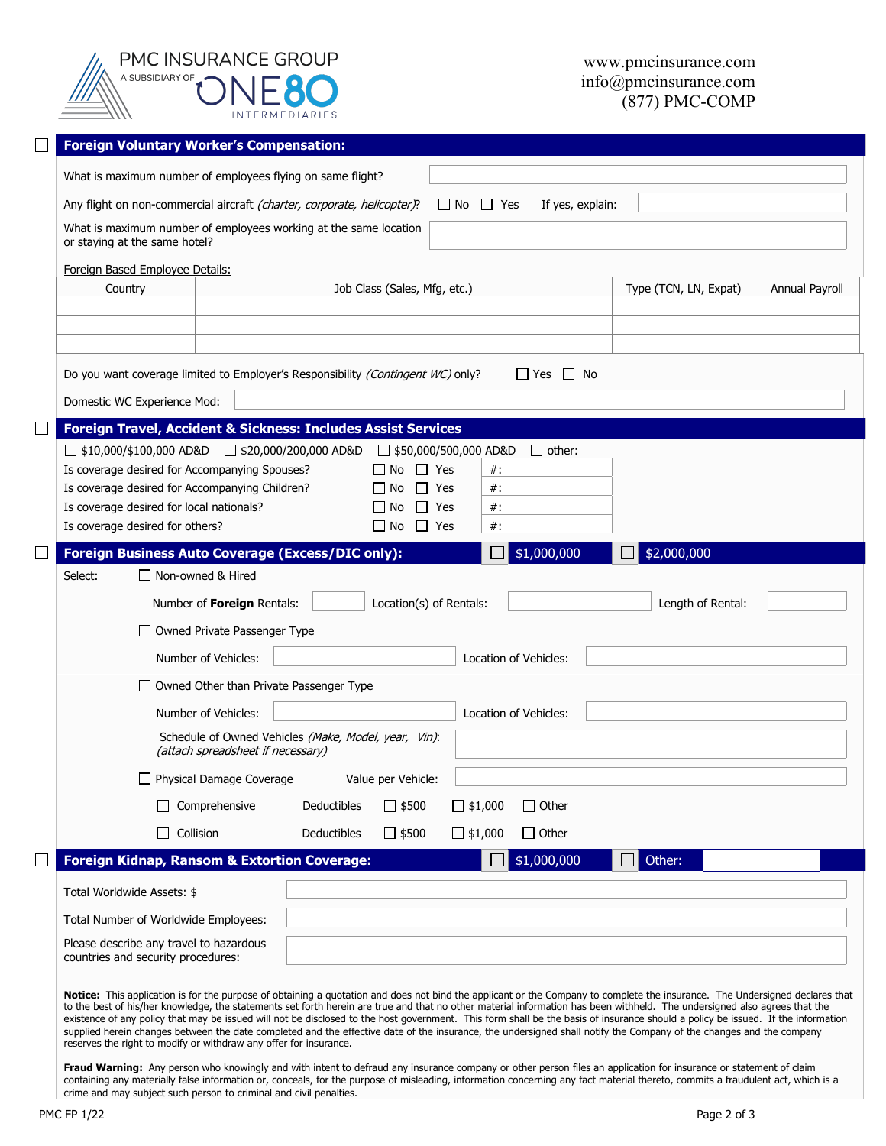| PMC INSURANCE GROUP<br><b>INTERMEDIARIES</b> |
|----------------------------------------------|

|                                                                  | <b>Foreign Voluntary Worker's Compensation:</b>                                                                     |                                     |                             |                              |                     |             |                |
|------------------------------------------------------------------|---------------------------------------------------------------------------------------------------------------------|-------------------------------------|-----------------------------|------------------------------|---------------------|-------------|----------------|
|                                                                  | What is maximum number of employees flying on same flight?                                                          |                                     |                             |                              |                     |             |                |
|                                                                  | Any flight on non-commercial aircraft (charter, corporate, helicopter)?<br>$\Box$ No $\Box$ Yes<br>If yes, explain: |                                     |                             |                              |                     |             |                |
|                                                                  | What is maximum number of employees working at the same location<br>or staying at the same hotel?                   |                                     |                             |                              |                     |             |                |
|                                                                  | Foreign Based Employee Details:                                                                                     |                                     |                             |                              |                     |             |                |
| Country<br>Job Class (Sales, Mfg, etc.)<br>Type (TCN, LN, Expat) |                                                                                                                     |                                     |                             |                              |                     |             | Annual Payroll |
|                                                                  |                                                                                                                     |                                     |                             |                              |                     |             |                |
|                                                                  |                                                                                                                     |                                     |                             |                              |                     |             |                |
|                                                                  | Do you want coverage limited to Employer's Responsibility (Contingent WC) only?                                     |                                     |                             |                              | $\Box$ Yes<br>LI No |             |                |
|                                                                  | Domestic WC Experience Mod:                                                                                         |                                     |                             |                              |                     |             |                |
|                                                                  | Foreign Travel, Accident & Sickness: Includes Assist Services                                                       |                                     |                             |                              |                     |             |                |
|                                                                  | $\Box$ \$10,000/\$100,000 AD&D $\Box$ \$20,000/200,000 AD&D                                                         |                                     |                             | $\Box$ \$50,000/500,000 AD&D | $\Box$ other:       |             |                |
|                                                                  | Is coverage desired for Accompanying Spouses?                                                                       |                                     | $\Box$ No $\Box$ Yes        | $#$ :                        |                     |             |                |
|                                                                  | Is coverage desired for Accompanying Children?                                                                      |                                     | $\Box$ No $\Box$ Yes        | $#$ :                        |                     |             |                |
|                                                                  | Is coverage desired for local nationals?                                                                            |                                     | $\perp$<br>$\Box$ No        | $#$ :<br>Yes                 |                     |             |                |
|                                                                  | Is coverage desired for others?                                                                                     |                                     | $\Box$ No $\Box$ Yes        | $#$ :                        |                     |             |                |
|                                                                  | <b>Foreign Business Auto Coverage (Excess/DIC only):</b>                                                            |                                     |                             |                              | \$1,000,000         | \$2,000,000 |                |
|                                                                  | □ Non-owned & Hired<br>Select:                                                                                      |                                     |                             |                              |                     |             |                |
|                                                                  | Number of Foreign Rentals:<br>Length of Rental:<br>Location(s) of Rentals:                                          |                                     |                             |                              |                     |             |                |
|                                                                  |                                                                                                                     | $\Box$ Owned Private Passenger Type |                             |                              |                     |             |                |
|                                                                  | Number of Vehicles:<br>Location of Vehicles:                                                                        |                                     |                             |                              |                     |             |                |
|                                                                  | □ Owned Other than Private Passenger Type                                                                           |                                     |                             |                              |                     |             |                |
|                                                                  | Number of Vehicles:<br>Location of Vehicles:                                                                        |                                     |                             |                              |                     |             |                |
|                                                                  | Schedule of Owned Vehicles (Make, Model, year, Vin):<br>(attach spreadsheet if necessary)                           |                                     |                             |                              |                     |             |                |
|                                                                  |                                                                                                                     | □ Physical Damage Coverage          | Value per Vehicle:          |                              |                     |             |                |
|                                                                  |                                                                                                                     | Comprehensive                       | $\Box$ \$500<br>Deductibles | $\Box$ \$1,000               | $\Box$ Other        |             |                |
|                                                                  | $\perp$                                                                                                             | Collision                           | Deductibles<br>$\Box$ \$500 | $\Box$ \$1,000               | $\Box$ Other        |             |                |
|                                                                  | <b>Foreign Kidnap, Ransom &amp; Extortion Coverage:</b>                                                             |                                     |                             |                              | \$1,000,000         | Other:      |                |
|                                                                  | Total Worldwide Assets: \$                                                                                          |                                     |                             |                              |                     |             |                |
|                                                                  | Total Number of Worldwide Employees:                                                                                |                                     |                             |                              |                     |             |                |
|                                                                  | Please describe any travel to hazardous                                                                             |                                     |                             |                              |                     |             |                |
|                                                                  | countries and security procedures:                                                                                  |                                     |                             |                              |                     |             |                |
|                                                                  |                                                                                                                     |                                     |                             |                              |                     |             |                |

**Notice:** This application is for the purpose of obtaining a quotation and does not bind the applicant or the Company to complete the insurance. The Undersigned declares that to the best of his/her knowledge, the statements set forth herein are true and that no other material information has been withheld. The undersigned also agrees that the existence of any policy that may be issued will not be disclosed to the host government. This form shall be the basis of insurance should a policy be issued. If the information supplied herein changes between the date completed and the effective date of the insurance, the undersigned shall notify the Company of the changes and the company reserves the right to modify or withdraw any offer for insurance.

**Fraud Warning:** Any person who knowingly and with intent to defraud any insurance company or other person files an application for insurance or statement of claim containing any materially false information or, conceals, for the purpose of misleading, information concerning any fact material thereto, commits a fraudulent act, which is a crime and may subject such person to criminal and civil penalties.